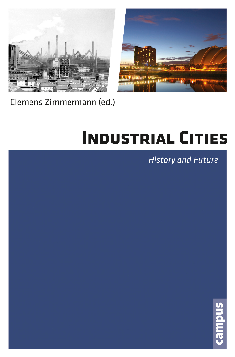



# Clemens Zimmermann (ed.)

# **INDUSTRIAL CITIES**

# **History and Future**

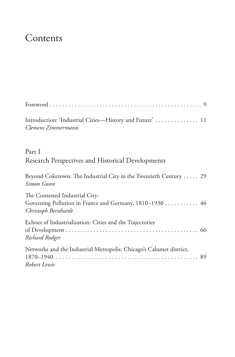# Contents

| Introduction: 'Industrial Cities-History and Future'  11<br>Clemens Zimmermann                                   |
|------------------------------------------------------------------------------------------------------------------|
| Part I<br>Research Perspectives and Historical Developments                                                      |
| Beyond Coketown: The Industrial City in the Twentieth Century 29<br>Simon Gunn                                   |
| The Contested Industrial City:<br>Governing Pollution in France and Germany, 1810-1930 46<br>Christoph Bernhardt |
| Echoes of Industrialization: Cities and the Trajectories<br>Richard Rodger                                       |
| Networks and the Industrial Metropolis: Chicago's Calumet district,<br>Robert Lewis                              |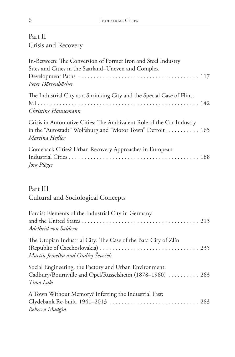#### Part II

Crisis and Recovery

| In-Between: The Conversion of Former Iron and Steel Industry                                                                                        |  |
|-----------------------------------------------------------------------------------------------------------------------------------------------------|--|
| Sites and Cities in the Saarland–Uneven and Complex                                                                                                 |  |
|                                                                                                                                                     |  |
| Peter Dörrenbächer                                                                                                                                  |  |
| The Industrial City as a Shrinking City and the Special Case of Flint,                                                                              |  |
|                                                                                                                                                     |  |
| Christine Hannemann                                                                                                                                 |  |
| Crisis in Automotive Cities: The Ambivalent Role of the Car Industry<br>in the "Autostadt" Wolfsburg and "Motor Town" Detroit 165<br>Martina Heßler |  |
| Comeback Cities? Urban Recovery Approaches in European                                                                                              |  |
| Jörg Plöger                                                                                                                                         |  |

#### Part III

## Cultural and Sociological Concepts

| Fordist Elements of the Industrial City in Germany<br>Adelheid von Saldern                                                      |  |
|---------------------------------------------------------------------------------------------------------------------------------|--|
| The Utopian Industrial City: The Case of the Baťa City of Zlín<br>Martin Jemelka and Ondřej Ševeček                             |  |
| Social Engineering, the Factory and Urban Environment:<br>Cadbury/Bournville and Opel/Rüsselsheim (1878–1960)  263<br>Timo Luks |  |
| A Town Without Memory? Inferring the Industrial Past:<br>Clydebank Re-built, 1941-2013  283<br>Rebecca Madgin                   |  |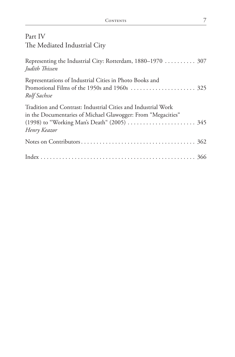### Part IV The Mediated Industrial City

| Representing the Industrial City: Rotterdam, 1880–1970  307<br>Judith Thissen                                                                                                                |  |
|----------------------------------------------------------------------------------------------------------------------------------------------------------------------------------------------|--|
| Representations of Industrial Cities in Photo Books and<br>Rolf Sachsse                                                                                                                      |  |
| Tradition and Contrast: Industrial Cities and Industrial Work<br>in the Documentaries of Michael Glawogger: From "Megacities"<br>(1998) to "Working Man's Death" (2005)  345<br>Henry Keazor |  |
|                                                                                                                                                                                              |  |
|                                                                                                                                                                                              |  |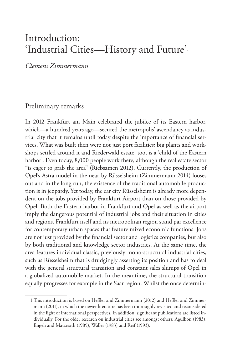## Introduction: 'Industrial Cities—History and Future'1

*Clemens Zimmermann*

#### Preliminary remarks

In 2012 Frankfurt am Main celebrated the jubilee of its Eastern harbor, which—a hundred years ago—secured the metropolis' ascendancy as industrial city that it remains until today despite the importance of financial services. What was built then were not just port facilities; big plants and workshops settled around it and Riederwald estate, too, is a 'child of the Eastern harbor'. Even today, 8,000 people work there, although the real estate sector "is eager to grab the area" (Riebsamen 2012). Currently, the production of Opel's Astra model in the near-by Rüsselsheim (Zimmermann 2014) looses out and in the long run, the existence of the traditional automobile production is in jeopardy. Yet today, the car city Rüsselsheim is already more dependent on the jobs provided by Frankfurt Airport than on those provided by Opel. Both the Eastern harbor in Frankfurt and Opel as well as the airport imply the dangerous potential of industrial jobs and their situation in cities and regions. Frankfurt itself and its metropolitan region stand par excellence for contemporary urban spaces that feature mixed economic functions. Jobs are not just provided by the financial sector and logistics companies, but also by both traditional and knowledge sector industries. At the same time, the area features individual classic, previously mono-structural industrial cities, such as Rüsselsheim that is drudgingly asserting its position and has to deal with the general structural transition and constant sales slumps of Opel in a globalized automobile market. In the meantime, the structural transition equally progresses for example in the Saar region. Whilst the once determin-

<sup>1</sup> This introduction is based on Heßler and Zimmermann (2012) and Heßler and Zimmermann (2011), in which the newer literature has been thoroughly revisited and reconsidered in the light of international perspectives. In addition, significant publications are listed individually. For the older research on industrial cities see amongst others: Agulhon (1983), Engeli and Matzerath (1989), Waller (1983) and Reif (1993).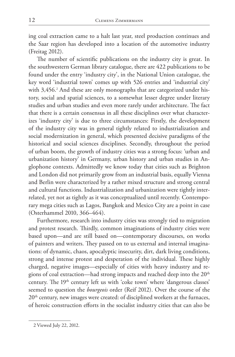ing coal extraction came to a halt last year, steel production continues and the Saar region has developed into a location of the automotive industry (Freitag 2012).

The number of scientific publications on the industry city is great. In the southwestern German library catalogue, there are 422 publications to be found under the entry 'industry city', in the National Union catalogue, the key word 'industrial town' comes up with 526 entries and 'industrial city' with 3,456.<sup>2</sup> And these are only monographs that are categorized under history, social and spatial sciences, to a somewhat lesser degree under literary studies and urban studies and even more rarely under architecture. The fact that there is a certain consensus in all these disciplines over what characterizes 'industry city' is due to three circumstances: Firstly, the development of the industry city was in general tightly related to industrialization and social modernization in general, which presented decisive paradigms of the historical and social sciences disciplines. Secondly, throughout the period of urban boom, the growth of industry cities was a strong focus: 'urban and urbanization history' in Germany, urban history and urban studies in Anglophone contexts. Admittedly we know today that cities such as Brighton and London did not primarily grow from an industrial basis, equally Vienna and Berlin were characterized by a rather mixed structure and strong central and cultural functions. Industrialization and urbanization were tightly interrelated, yet not as tightly as it was conceptualized until recently. Contemporary mega cities such as Lagos, Bangkok and Mexico City are a point in case (Osterhammel 2010, 366–464).

Furthermore, research into industry cities was strongly tied to migration and protest research. Thirdly, common imaginations of industry cities were based upon—and are still based on—contemporary discourses, on works of painters and writers. They passed on to us external and internal imaginations: of dynamic, chaos, apocalyptic insecurity, dirt, dark living conditions, strong and intense protest and desperation of the individual. These highly charged, negative images—especially of cities with heavy industry and regions of coal extraction—had strong impacts and reached deep into the 20<sup>th</sup> century. The 19<sup>th</sup> century left us with 'coke town' where 'dangerous classes' seemed to question the *bourgeois* order (Reif 2012). Over the course of the 20<sup>th</sup> century, new images were created: of disciplined workers at the furnaces, of heroic construction efforts in the socialist industry cities that can also be

<sup>2</sup> Viewed July 22, 2012.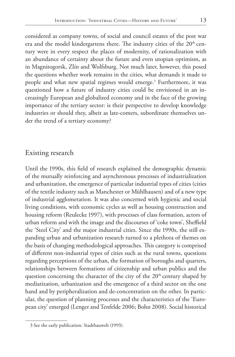considered as company towns, of social and council estates of the post war era and the model kindergartens there. The industry cities of the 20<sup>th</sup> century were in every respect the places of modernity, of rationalization with an abundance of certainty about the future and even utopian optimism, as in Magnitogorsk, Zlín and Wolfsburg. Not much later, however, this posed the questions whether work remains in the cities, what demands it made to people and what new spatial regimes would emerge.<sup>3</sup> Furthermore, it was questioned how a future of industry cities could be envisioned in an increasingly European and globalized economy and in the face of the growing importance of the tertiary sector: is their perspective to develop knowledge industries or should they, albeit as late-comers, subordinate themselves un-

#### Existing research

der the trend of a tertiary economy?

Until the 1990s, this field of research explained the demographic dynamic of the mutually reinforcing and asynchronous processes of industrialization and urbanization, the emergence of particular industrial types of cities (cities of the textile industry such as Manchester or Mühlhausen) and of a new type of industrial agglomeration. It was also concerned with hygienic and social living conditions, with economic cycles as well as housing construction and housing reform (Reulecke 1997), with processes of class formation, actors of urban reform and with the image and the discourses of 'coke town', Sheffield the 'Steel City' and the major industrial cities. Since the 1990s, the still expanding urban and urbanization research turned to a plethora of themes on the basis of changing methodological approaches. This category is comprised of different non-industrial types of cities such as the rural towns, questions regarding perceptions of the urban, the formation of boroughs and quarters, relationships between formations of citizenship and urban publics and the question concerning the character of the city of the 20<sup>th</sup> century shaped by mediatization, urbanization and the emergence of a third sector on the one hand and by peripheralization and de-concentration on the other. In particular, the question of planning processes and the characteristics of the 'European city' emerged (Lenger and Tenfelde 2006; Bohn 2008). Social historical

<sup>3</sup> See the early publication: Stadtbauwelt (1993).